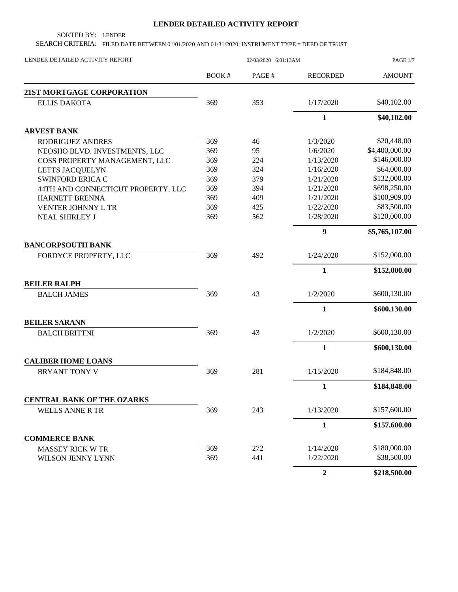## **LENDER DETAILED ACTIVITY REPORT**

SORTED BY: LENDER

SEARCH CRITERIA: FILED DATE BETWEEN 01/01/2020 AND 01/31/2020; INSTRUMENT TYPE = DEED OF TRUST

| LENDER DETAILED ACTIVITY REPORT    |       | PAGE 1/7 |                  |                |
|------------------------------------|-------|----------|------------------|----------------|
|                                    | BOOK# | PAGE#    | <b>RECORDED</b>  | <b>AMOUNT</b>  |
| 21ST MORTGAGE CORPORATION          |       |          |                  |                |
| <b>ELLIS DAKOTA</b>                | 369   | 353      | 1/17/2020        | \$40,102.00    |
|                                    |       |          | $\mathbf{1}$     | \$40,102.00    |
| <b>ARVEST BANK</b>                 |       |          |                  |                |
| RODRIGUEZ ANDRES                   | 369   | 46       | 1/3/2020         | \$20,448.00    |
| NEOSHO BLVD. INVESTMENTS, LLC      | 369   | 95       | 1/6/2020         | \$4,400,000.00 |
| COSS PROPERTY MANAGEMENT, LLC      | 369   | 224      | 1/13/2020        | \$146,000.00   |
| LETTS JACQUELYN                    | 369   | 324      | 1/16/2020        | \$64,000.00    |
| <b>SWINFORD ERICA C</b>            | 369   | 379      | 1/21/2020        | \$132,000.00   |
| 44TH AND CONNECTICUT PROPERTY, LLC | 369   | 394      | 1/21/2020        | \$698,250.00   |
| HARNETT BRENNA                     | 369   | 409      | 1/21/2020        | \$100,909.00   |
| VENTER JOHNNY L TR                 | 369   | 425      | 1/22/2020        | \$83,500.00    |
| <b>NEAL SHIRLEY J</b>              | 369   | 562      | 1/28/2020        | \$120,000.00   |
|                                    |       |          | 9                | \$5,765,107.00 |
| <b>BANCORPSOUTH BANK</b>           |       |          |                  |                |
| FORDYCE PROPERTY, LLC              | 369   | 492      | 1/24/2020        | \$152,000.00   |
|                                    |       |          | $\mathbf{1}$     | \$152,000.00   |
| <b>BEILER RALPH</b>                |       |          |                  |                |
| <b>BALCH JAMES</b>                 | 369   | 43       | 1/2/2020         | \$600,130.00   |
|                                    |       |          | $\mathbf{1}$     | \$600,130.00   |
| <b>BEILER SARANN</b>               |       |          |                  |                |
| <b>BALCH BRITTNI</b>               | 369   | 43       | 1/2/2020         | \$600,130.00   |
|                                    |       |          | 1                | \$600,130.00   |
| <b>CALIBER HOME LOANS</b>          |       |          |                  |                |
| <b>BRYANT TONY V</b>               | 369   | 281      | 1/15/2020        | \$184,848.00   |
|                                    |       |          | $\mathbf{1}$     | \$184,848.00   |
| <b>CENTRAL BANK OF THE OZARKS</b>  |       |          |                  |                |
| <b>WELLS ANNE R TR</b>             | 369   | 243      | 1/13/2020        | \$157,600.00   |
|                                    |       |          | 1                | \$157,600.00   |
| <b>COMMERCE BANK</b>               |       |          |                  |                |
| <b>MASSEY RICK W TR</b>            | 369   | 272      | 1/14/2020        | \$180,000.00   |
| WILSON JENNY LYNN                  | 369   | 441      | 1/22/2020        | \$38,500.00    |
|                                    |       |          | $\boldsymbol{2}$ | \$218,500.00   |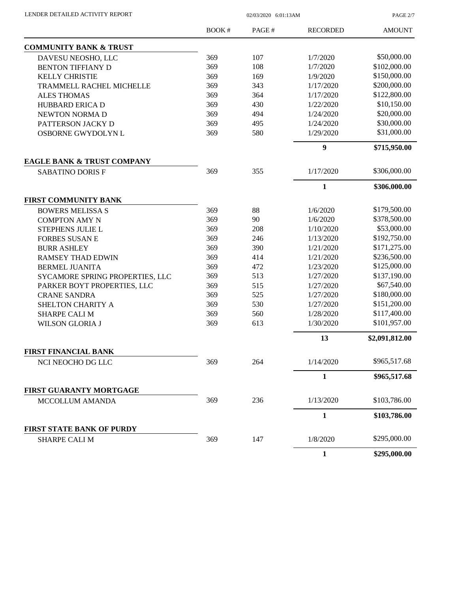| LENDER DETAILED ACTIVITY REPORT |  |
|---------------------------------|--|
|                                 |  |

02/03/2020 6:01:13AM

PAGE 2/7

|                                       | BOOK# | PAGE# | <b>RECORDED</b>  | <b>AMOUNT</b>  |
|---------------------------------------|-------|-------|------------------|----------------|
| <b>COMMUNITY BANK &amp; TRUST</b>     |       |       |                  |                |
| DAVESU NEOSHO, LLC                    | 369   | 107   | 1/7/2020         | \$50,000.00    |
| <b>BENTON TIFFIANY D</b>              | 369   | 108   | 1/7/2020         | \$102,000.00   |
| <b>KELLY CHRISTIE</b>                 | 369   | 169   | 1/9/2020         | \$150,000.00   |
| <b>TRAMMELL RACHEL MICHELLE</b>       | 369   | 343   | 1/17/2020        | \$200,000.00   |
| <b>ALES THOMAS</b>                    | 369   | 364   | 1/17/2020        | \$122,800.00   |
| <b>HUBBARD ERICA D</b>                | 369   | 430   | 1/22/2020        | \$10,150.00    |
| NEWTON NORMA D                        | 369   | 494   | 1/24/2020        | \$20,000.00    |
| PATTERSON JACKY D                     | 369   | 495   | 1/24/2020        | \$30,000.00    |
| OSBORNE GWYDOLYN L                    | 369   | 580   | 1/29/2020        | \$31,000.00    |
|                                       |       |       | $\boldsymbol{9}$ | \$715,950.00   |
| <b>EAGLE BANK &amp; TRUST COMPANY</b> |       |       |                  |                |
| <b>SABATINO DORIS F</b>               | 369   | 355   | 1/17/2020        | \$306,000.00   |
|                                       |       |       | $\mathbf{1}$     | \$306,000.00   |
| FIRST COMMUNITY BANK                  |       |       |                  |                |
| <b>BOWERS MELISSA S</b>               | 369   | 88    | 1/6/2020         | \$179,500.00   |
| <b>COMPTON AMY N</b>                  | 369   | 90    | 1/6/2020         | \$378,500.00   |
| STEPHENS JULIE L                      | 369   | 208   | 1/10/2020        | \$53,000.00    |
| <b>FORBES SUSAN E</b>                 | 369   | 246   | 1/13/2020        | \$192,750.00   |
| <b>BURR ASHLEY</b>                    | 369   | 390   | 1/21/2020        | \$171,275.00   |
| <b>RAMSEY THAD EDWIN</b>              | 369   | 414   | 1/21/2020        | \$236,500.00   |
| <b>BERMEL JUANITA</b>                 | 369   | 472   | 1/23/2020        | \$125,000.00   |
| SYCAMORE SPRING PROPERTIES, LLC       | 369   | 513   | 1/27/2020        | \$137,190.00   |
| PARKER BOYT PROPERTIES, LLC           | 369   | 515   | 1/27/2020        | \$67,540.00    |
| <b>CRANE SANDRA</b>                   | 369   | 525   | 1/27/2020        | \$180,000.00   |
| SHELTON CHARITY A                     | 369   | 530   | 1/27/2020        | \$151,200.00   |
| <b>SHARPE CALI M</b>                  | 369   | 560   | 1/28/2020        | \$117,400.00   |
| <b>WILSON GLORIA J</b>                | 369   | 613   | 1/30/2020        | \$101,957.00   |
|                                       |       |       | 13               | \$2,091,812.00 |
| <b>FIRST FINANCIAL BANK</b>           |       |       |                  |                |
| NCI NEOCHO DG LLC                     | 369   | 264   | 1/14/2020        | \$965,517.68   |
|                                       |       |       | 1                | \$965,517.68   |
| FIRST GUARANTY MORTGAGE               |       |       |                  |                |
| MCCOLLUM AMANDA                       | 369   | 236   | 1/13/2020        | \$103,786.00   |
|                                       |       |       | $\mathbf{1}$     | \$103,786.00   |
| <b>FIRST STATE BANK OF PURDY</b>      |       |       |                  |                |
| <b>SHARPE CALI M</b>                  | 369   | 147   | 1/8/2020         | \$295,000.00   |
|                                       |       |       | $\mathbf{1}$     | \$295,000.00   |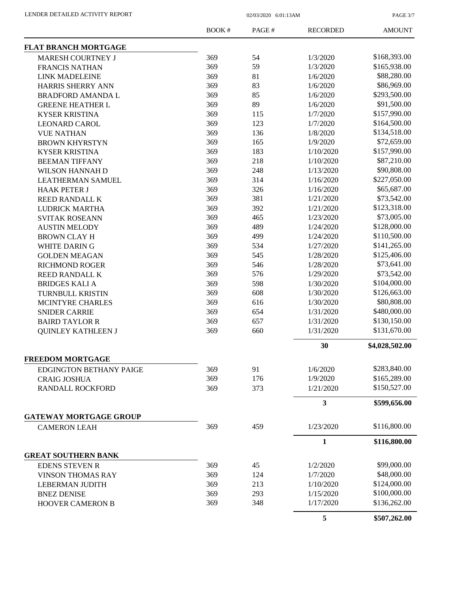PAGE 3/7

|                                | <b>BOOK#</b> | PAGE# | <b>RECORDED</b> | <b>AMOUNT</b>  |
|--------------------------------|--------------|-------|-----------------|----------------|
| <b>FLAT BRANCH MORTGAGE</b>    |              |       |                 |                |
| MARESH COURTNEY J              | 369          | 54    | 1/3/2020        | \$168,393.00   |
| <b>FRANCIS NATHAN</b>          | 369          | 59    | 1/3/2020        | \$165,938.00   |
| <b>LINK MADELEINE</b>          | 369          | 81    | 1/6/2020        | \$88,280.00    |
| HARRIS SHERRY ANN              | 369          | 83    | 1/6/2020        | \$86,969.00    |
| <b>BRADFORD AMANDA L</b>       | 369          | 85    | 1/6/2020        | \$293,500.00   |
| <b>GREENE HEATHER L</b>        | 369          | 89    | 1/6/2020        | \$91,500.00    |
| <b>KYSER KRISTINA</b>          | 369          | 115   | 1/7/2020        | \$157,990.00   |
| <b>LEONARD CAROL</b>           | 369          | 123   | 1/7/2020        | \$164,500.00   |
| <b>VUE NATHAN</b>              | 369          | 136   | 1/8/2020        | \$134,518.00   |
| <b>BROWN KHYRSTYN</b>          | 369          | 165   | 1/9/2020        | \$72,659.00    |
| <b>KYSER KRISTINA</b>          | 369          | 183   | 1/10/2020       | \$157,990.00   |
| <b>BEEMAN TIFFANY</b>          | 369          | 218   | 1/10/2020       | \$87,210.00    |
| <b>WILSON HANNAH D</b>         | 369          | 248   | 1/13/2020       | \$90,808.00    |
| <b>LEATHERMAN SAMUEL</b>       | 369          | 314   | 1/16/2020       | \$227,050.00   |
| <b>HAAK PETER J</b>            | 369          | 326   | 1/16/2020       | \$65,687.00    |
| <b>REED RANDALL K</b>          | 369          | 381   | 1/21/2020       | \$73,542.00    |
| <b>LUDRICK MARTHA</b>          | 369          | 392   | 1/21/2020       | \$123,318.00   |
| <b>SVITAK ROSEANN</b>          | 369          | 465   | 1/23/2020       | \$73,005.00    |
| <b>AUSTIN MELODY</b>           | 369          | 489   | 1/24/2020       | \$128,000.00   |
| <b>BROWN CLAY H</b>            | 369          | 499   | 1/24/2020       | \$110,500.00   |
| WHITE DARING                   | 369          | 534   | 1/27/2020       | \$141,265.00   |
| <b>GOLDEN MEAGAN</b>           | 369          | 545   | 1/28/2020       | \$125,406.00   |
| <b>RICHMOND ROGER</b>          | 369          | 546   | 1/28/2020       | \$73,641.00    |
| REED RANDALL K                 | 369          | 576   | 1/29/2020       | \$73,542.00    |
| <b>BRIDGES KALI A</b>          | 369          | 598   | 1/30/2020       | \$104,000.00   |
| TURNBULL KRISTIN               | 369          | 608   | 1/30/2020       | \$126,663.00   |
| MCINTYRE CHARLES               | 369          | 616   | 1/30/2020       | \$80,808.00    |
|                                | 369          | 654   | 1/31/2020       | \$480,000.00   |
| <b>SNIDER CARRIE</b>           | 369          | 657   | 1/31/2020       | \$130,150.00   |
| <b>BAIRD TAYLOR R</b>          | 369          |       | 1/31/2020       | \$131,670.00   |
| <b>QUINLEY KATHLEEN J</b>      |              | 660   |                 |                |
| <b>FREEDOM MORTGAGE</b>        |              |       | 30              | \$4,028,502.00 |
|                                |              |       |                 |                |
| <b>EDGINGTON BETHANY PAIGE</b> | 369          | 91    | 1/6/2020        | \$283,840.00   |
| <b>CRAIG JOSHUA</b>            | 369          | 176   | 1/9/2020        | \$165,289.00   |
| <b>RANDALL ROCKFORD</b>        | 369          | 373   | 1/21/2020       | \$150,527.00   |
|                                |              |       | 3               | \$599,656.00   |
| <b>GATEWAY MORTGAGE GROUP</b>  |              |       |                 |                |
| <b>CAMERON LEAH</b>            | 369          | 459   | 1/23/2020       | \$116,800.00   |
|                                |              |       | 1               | \$116,800.00   |
| <b>GREAT SOUTHERN BANK</b>     |              |       |                 |                |
| <b>EDENS STEVEN R</b>          | 369          | 45    | 1/2/2020        | \$99,000.00    |
| <b>VINSON THOMAS RAY</b>       | 369          | 124   | 1/7/2020        | \$48,000.00    |
| LEBERMAN JUDITH                | 369          | 213   | 1/10/2020       | \$124,000.00   |
| <b>BNEZ DENISE</b>             | 369          | 293   | 1/15/2020       | \$100,000.00   |
| <b>HOOVER CAMERON B</b>        | 369          | 348   | 1/17/2020       | \$136,262.00   |
|                                |              |       | 5               | \$507,262.00   |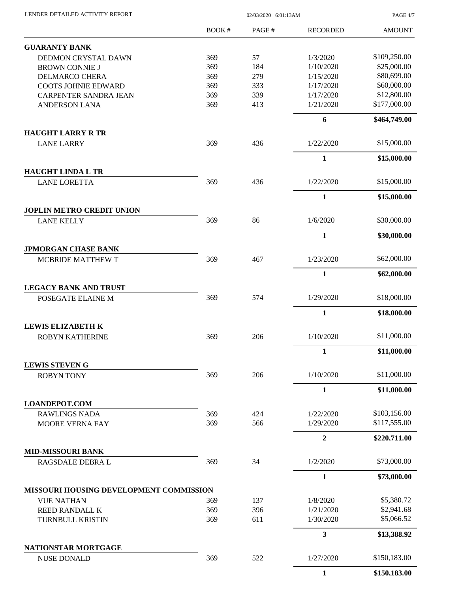| LENDER DETAILED ACTIVITY REPORT |  |
|---------------------------------|--|
|                                 |  |

 $02/03/2020$  6:01:13AM

PAGE 4/7

|                                                 | <b>BOOK#</b> | PAGE# | <b>RECORDED</b>         | <b>AMOUNT</b> |
|-------------------------------------------------|--------------|-------|-------------------------|---------------|
| <b>GUARANTY BANK</b>                            |              |       |                         |               |
| DEDMON CRYSTAL DAWN                             | 369          | 57    | 1/3/2020                | \$109,250.00  |
| <b>BROWN CONNIE J</b>                           | 369          | 184   | 1/10/2020               | \$25,000.00   |
| <b>DELMARCO CHERA</b>                           | 369          | 279   | 1/15/2020               | \$80,699.00   |
| <b>COOTS JOHNIE EDWARD</b>                      | 369          | 333   | 1/17/2020               | \$60,000.00   |
| <b>CARPENTER SANDRA JEAN</b>                    | 369          | 339   | 1/17/2020               | \$12,800.00   |
| <b>ANDERSON LANA</b>                            | 369          | 413   | 1/21/2020               | \$177,000.00  |
|                                                 |              |       |                         |               |
| <b>HAUGHT LARRY R TR</b>                        |              |       | 6                       | \$464,749.00  |
| <b>LANE LARRY</b>                               | 369          | 436   | 1/22/2020               | \$15,000.00   |
|                                                 |              |       | 1                       | \$15,000.00   |
| <b>HAUGHT LINDA L TR</b>                        |              |       |                         |               |
| <b>LANE LORETTA</b>                             | 369          | 436   | 1/22/2020               | \$15,000.00   |
|                                                 |              |       | $\mathbf{1}$            | \$15,000.00   |
| <b>JOPLIN METRO CREDIT UNION</b>                |              |       |                         |               |
| <b>LANE KELLY</b>                               | 369          | 86    | 1/6/2020                | \$30,000.00   |
|                                                 |              |       | $\mathbf{1}$            | \$30,000.00   |
| <b>JPMORGAN CHASE BANK</b><br>MCBRIDE MATTHEW T | 369          | 467   | 1/23/2020               | \$62,000.00   |
|                                                 |              |       | $\mathbf{1}$            | \$62,000.00   |
| <b>LEGACY BANK AND TRUST</b>                    |              |       |                         |               |
| POSEGATE ELAINE M                               | 369          | 574   | 1/29/2020               | \$18,000.00   |
|                                                 |              |       | $\mathbf{1}$            | \$18,000.00   |
| <b>LEWIS ELIZABETH K</b>                        |              |       |                         |               |
| <b>ROBYN KATHERINE</b>                          | 369          | 206   | 1/10/2020               | \$11,000.00   |
|                                                 |              |       | 1                       | \$11,000.00   |
| <b>LEWIS STEVEN G</b>                           |              |       |                         |               |
| <b>ROBYN TONY</b>                               | 369          | 206   | 1/10/2020               | \$11,000.00   |
|                                                 |              |       | $\mathbf{1}$            | \$11,000.00   |
| <b>LOANDEPOT.COM</b><br><b>RAWLINGS NADA</b>    | 369          | 424   | 1/22/2020               | \$103,156.00  |
| <b>MOORE VERNA FAY</b>                          | 369          | 566   | 1/29/2020               | \$117,555.00  |
|                                                 |              |       | $\overline{2}$          | \$220,711.00  |
| <b>MID-MISSOURI BANK</b>                        |              |       |                         |               |
| RAGSDALE DEBRA L                                | 369          | 34    | 1/2/2020                | \$73,000.00   |
|                                                 |              |       | $\mathbf{1}$            | \$73,000.00   |
| MISSOURI HOUSING DEVELOPMENT COMMISSION         |              |       |                         |               |
| <b>VUE NATHAN</b>                               | 369          | 137   | 1/8/2020                | \$5,380.72    |
| <b>REED RANDALL K</b>                           | 369          | 396   | 1/21/2020               | \$2,941.68    |
| TURNBULL KRISTIN                                | 369          | 611   | 1/30/2020               | \$5,066.52    |
|                                                 |              |       | $\overline{\mathbf{3}}$ | \$13,388.92   |
| NATIONSTAR MORTGAGE                             |              |       |                         |               |
| <b>NUSE DONALD</b>                              | 369          | 522   | 1/27/2020               | \$150,183.00  |
|                                                 |              |       | 1                       | \$150,183.00  |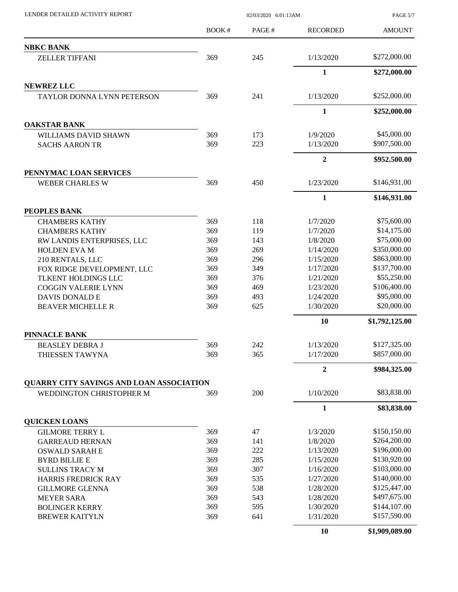LENDER DETAILED ACTIVITY REPORT 02/03/2020 6:01:13AM

PAGE 5/7

|                                          | BOOK# | PAGE# | <b>RECORDED</b> | <b>AMOUNT</b>  |
|------------------------------------------|-------|-------|-----------------|----------------|
| <b>NBKC BANK</b>                         |       |       |                 |                |
| ZELLER TIFFANI                           | 369   | 245   | 1/13/2020       | \$272,000.00   |
|                                          |       |       | $\mathbf{1}$    | \$272,000.00   |
| <b>NEWREZ LLC</b>                        |       |       |                 |                |
| <b>TAYLOR DONNA LYNN PETERSON</b>        | 369   | 241   | 1/13/2020       | \$252,000.00   |
|                                          |       |       | $\mathbf{1}$    | \$252,000.00   |
| <b>OAKSTAR BANK</b>                      |       |       |                 |                |
| WILLIAMS DAVID SHAWN                     | 369   | 173   | 1/9/2020        | \$45,000.00    |
| <b>SACHS AARON TR</b>                    | 369   | 223   | 1/13/2020       | \$907,500.00   |
|                                          |       |       | $\overline{2}$  | \$952,500.00   |
| PENNYMAC LOAN SERVICES                   |       |       |                 |                |
| <b>WEBER CHARLES W</b>                   | 369   | 450   | 1/23/2020       | \$146,931.00   |
|                                          |       |       | $\mathbf{1}$    | \$146,931.00   |
| <b>PEOPLES BANK</b>                      |       |       |                 |                |
| <b>CHAMBERS KATHY</b>                    | 369   | 118   | 1/7/2020        | \$75,600.00    |
| <b>CHAMBERS KATHY</b>                    | 369   | 119   | 1/7/2020        | \$14,175.00    |
| RW LANDIS ENTERPRISES, LLC               | 369   | 143   | 1/8/2020        | \$75,000.00    |
| <b>HOLDEN EVA M</b>                      | 369   | 269   | 1/14/2020       | \$350,000.00   |
| 210 RENTALS, LLC                         | 369   | 296   | 1/15/2020       | \$863,000.00   |
| FOX RIDGE DEVELOPMENT, LLC               | 369   | 349   | 1/17/2020       | \$137,700.00   |
| TLKENT HOLDINGS LLC                      | 369   | 376   | 1/21/2020       | \$55,250.00    |
| <b>COGGIN VALERIE LYNN</b>               | 369   | 469   | 1/23/2020       | \$106,400.00   |
| DAVIS DONALD E                           | 369   | 493   | 1/24/2020       | \$95,000.00    |
| <b>BEAVER MICHELLE R</b>                 | 369   | 625   | 1/30/2020       | \$20,000.00    |
|                                          |       |       | 10              | \$1,792,125.00 |
| <b>PINNACLE BANK</b>                     |       |       |                 |                |
| <b>BEASLEY DEBRA J</b>                   | 369   | 242   | 1/13/2020       | \$127,325.00   |
| THIESSEN TAWYNA                          | 369   | 365   | 1/17/2020       | \$857,000.00   |
|                                          |       |       | $\overline{2}$  | \$984,325.00   |
| QUARRY CITY SAVINGS AND LOAN ASSOCIATION |       |       |                 |                |
| WEDDINGTON CHRISTOPHER M                 | 369   | 200   | 1/10/2020       | \$83,838.00    |
|                                          |       |       | $\mathbf{1}$    | \$83,838.00    |
| <b>QUICKEN LOANS</b>                     |       |       |                 |                |
| <b>GILMORE TERRY L</b>                   | 369   | 47    | 1/3/2020        | \$150,150.00   |
| <b>GARREAUD HERNAN</b>                   | 369   | 141   | 1/8/2020        | \$264,200.00   |
| <b>OSWALD SARAH E</b>                    | 369   | 222   | 1/13/2020       | \$196,000.00   |
| <b>BYRD BILLIE E</b>                     | 369   | 285   | 1/15/2020       | \$130,920.00   |
| <b>SULLINS TRACY M</b>                   | 369   | 307   | 1/16/2020       | \$103,000.00   |
| HARRIS FREDRICK RAY                      | 369   | 535   | 1/27/2020       | \$140,000.00   |
| <b>GILLMORE GLENNA</b>                   | 369   | 538   | 1/28/2020       | \$125,447.00   |
| <b>MEYER SARA</b>                        | 369   | 543   | 1/28/2020       | \$497,675.00   |
| <b>BOLINGER KERRY</b>                    | 369   | 595   | 1/30/2020       | \$144,107.00   |
| <b>BREWER KAITYLN</b>                    | 369   | 641   | 1/31/2020       | \$157,590.00   |
|                                          |       |       | 10              | \$1,909,089.00 |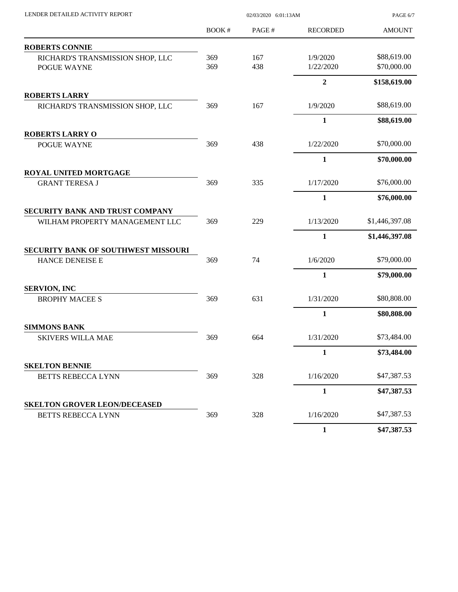| LENDER DETAILED ACTIVITY REPORT                           | 02/03/2020 6:01:13AM |       |                  | PAGE 6/7       |
|-----------------------------------------------------------|----------------------|-------|------------------|----------------|
|                                                           | BOOK#                | PAGE# | <b>RECORDED</b>  | <b>AMOUNT</b>  |
| <b>ROBERTS CONNIE</b>                                     |                      |       |                  |                |
| RICHARD'S TRANSMISSION SHOP, LLC                          | 369                  | 167   | 1/9/2020         | \$88,619.00    |
| POGUE WAYNE                                               | 369                  | 438   | 1/22/2020        | \$70,000.00    |
|                                                           |                      |       | $\boldsymbol{2}$ | \$158,619.00   |
| <b>ROBERTS LARRY</b>                                      |                      |       |                  |                |
| RICHARD'S TRANSMISSION SHOP, LLC                          | 369                  | 167   | 1/9/2020         | \$88,619.00    |
|                                                           |                      |       | $\mathbf{1}$     | \$88,619.00    |
| <b>ROBERTS LARRY O</b>                                    |                      |       |                  |                |
| POGUE WAYNE                                               | 369                  | 438   | 1/22/2020        | \$70,000.00    |
|                                                           |                      |       | $\mathbf{1}$     | \$70,000.00    |
| <b>ROYAL UNITED MORTGAGE</b>                              |                      | 335   | 1/17/2020        | \$76,000.00    |
| <b>GRANT TERESA J</b>                                     | 369                  |       |                  |                |
|                                                           |                      |       | 1                | \$76,000.00    |
| SECURITY BANK AND TRUST COMPANY                           |                      |       |                  |                |
| WILHAM PROPERTY MANAGEMENT LLC                            | 369                  | 229   | 1/13/2020        | \$1,446,397.08 |
|                                                           |                      |       | 1                | \$1,446,397.08 |
| <b>SECURITY BANK OF SOUTHWEST MISSOURI</b>                |                      |       |                  |                |
| HANCE DENEISE E                                           | 369                  | 74    | 1/6/2020         | \$79,000.00    |
|                                                           |                      |       | 1                | \$79,000.00    |
| <b>SERVION, INC</b>                                       |                      |       |                  |                |
| <b>BROPHY MACEE S</b>                                     | 369                  | 631   | 1/31/2020        | \$80,808.00    |
|                                                           |                      |       | 1                | \$80,808.00    |
| <b>SIMMONS BANK</b>                                       |                      |       |                  |                |
| <b>SKIVERS WILLA MAE</b>                                  | 369                  | 664   | 1/31/2020        | \$73,484.00    |
|                                                           |                      |       | $\mathbf{1}$     | \$73,484.00    |
| <b>SKELTON BENNIE</b>                                     |                      |       |                  | \$47,387.53    |
| <b>BETTS REBECCA LYNN</b>                                 | 369                  | 328   | 1/16/2020        |                |
|                                                           |                      |       | 1                | \$47,387.53    |
| <b>SKELTON GROVER LEON/DECEASED</b><br>BETTS REBECCA LYNN | 369                  | 328   | 1/16/2020        | \$47,387.53    |
|                                                           |                      |       |                  |                |
|                                                           |                      |       | $\mathbf{1}$     | \$47,387.53    |